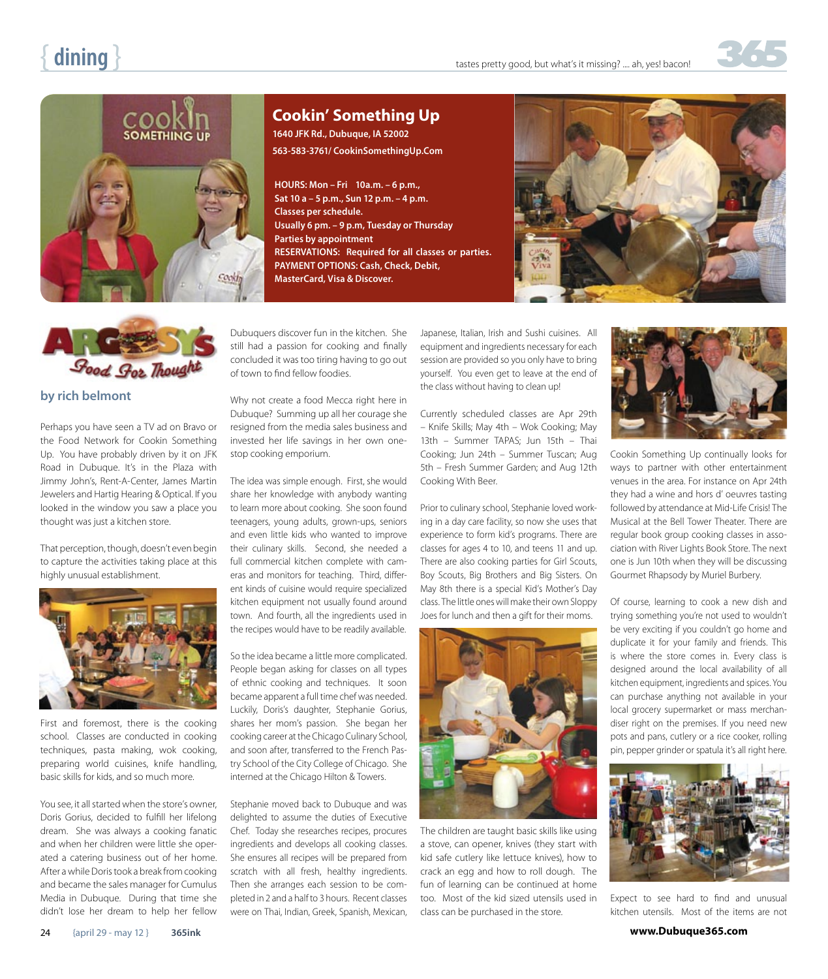



# **Cookin' Something Up**

**1640 JFK Rd., Dubuque, IA 52002 563-583-3761/ CookinSomethingUp.Com**

**HOURS: Mon – Fri 10a.m. – 6 p.m., Sat 10 a – 5 p.m., Sun 12 p.m. – 4 p.m. Classes per schedule. Usually 6 pm. – 9 p.m, Tuesday or Thursday Parties by appointment RESERVATIONS: Required for all classes or parties. PAYMENT OPTIONS: Cash, Check, Debit, MasterCard, Visa & Discover.**





## **by rich belmont**

Perhaps you have seen a TV ad on Bravo or the Food Network for Cookin Something Up. You have probably driven by it on JFK Road in Dubuque. It's in the Plaza with Jimmy John's, Rent-A-Center, James Martin Jewelers and Hartig Hearing & Optical. If you looked in the window you saw a place you thought was just a kitchen store.

That perception, though, doesn't even begin to capture the activities taking place at this highly unusual establishment.



First and foremost, there is the cooking school. Classes are conducted in cooking techniques, pasta making, wok cooking, preparing world cuisines, knife handling, basic skills for kids, and so much more.

You see, it all started when the store's owner, Doris Gorius, decided to fulfill her lifelong dream. She was always a cooking fanatic and when her children were little she operated a catering business out of her home. After a while Doris took a break from cooking and became the sales manager for Cumulus Media in Dubuque. During that time she didn't lose her dream to help her fellow

### Dubuquers discover fun in the kitchen. She still had a passion for cooking and finally concluded it was too tiring having to go out of town to find fellow foodies.

Why not create a food Mecca right here in Dubuque? Summing up all her courage she resigned from the media sales business and invested her life savings in her own onestop cooking emporium.

The idea was simple enough. First, she would share her knowledge with anybody wanting to learn more about cooking. She soon found teenagers, young adults, grown-ups, seniors and even little kids who wanted to improve their culinary skills. Second, she needed a full commercial kitchen complete with cameras and monitors for teaching. Third, different kinds of cuisine would require specialized kitchen equipment not usually found around town. And fourth, all the ingredients used in the recipes would have to be readily available.

So the idea became a little more complicated. People began asking for classes on all types of ethnic cooking and techniques. It soon became apparent a full time chef was needed. Luckily, Doris's daughter, Stephanie Gorius, shares her mom's passion. She began her cooking career at the Chicago Culinary School, and soon after, transferred to the French Pastry School of the City College of Chicago. She interned at the Chicago Hilton & Towers.

Stephanie moved back to Dubuque and was delighted to assume the duties of Executive Chef. Today she researches recipes, procures ingredients and develops all cooking classes. She ensures all recipes will be prepared from scratch with all fresh, healthy ingredients. Then she arranges each session to be completed in 2 and a half to 3 hours. Recent classes were on Thai, Indian, Greek, Spanish, Mexican,

Japanese, Italian, Irish and Sushi cuisines. All equipment and ingredients necessary for each session are provided so you only have to bring yourself. You even get to leave at the end of the class without having to clean up!

Currently scheduled classes are Apr 29th – Knife Skills; May 4th – Wok Cooking; May 13th – Summer TAPAS; Jun 15th – Thai Cooking; Jun 24th – Summer Tuscan; Aug 5th – Fresh Summer Garden; and Aug 12th Cooking With Beer.

Prior to culinary school, Stephanie loved working in a day care facility, so now she uses that experience to form kid's programs. There are classes for ages 4 to 10, and teens 11 and up. There are also cooking parties for Girl Scouts, Boy Scouts, Big Brothers and Big Sisters. On May 8th there is a special Kid's Mother's Day class. The little ones will make their own Sloppy Joes for lunch and then a gift for their moms.



The children are taught basic skills like using a stove, can opener, knives (they start with kid safe cutlery like lettuce knives), how to crack an egg and how to roll dough. The fun of learning can be continued at home too. Most of the kid sized utensils used in class can be purchased in the store.



Cookin Something Up continually looks for ways to partner with other entertainment venues in the area. For instance on Apr 24th they had a wine and hors d' oeuvres tasting followed by attendance at Mid-Life Crisis! The Musical at the Bell Tower Theater. There are regular book group cooking classes in association with River Lights Book Store. The next one is Jun 10th when they will be discussing Gourmet Rhapsody by Muriel Burbery.

Of course, learning to cook a new dish and trying something you're not used to wouldn't be very exciting if you couldn't go home and duplicate it for your family and friends. This is where the store comes in. Every class is designed around the local availability of all kitchen equipment, ingredients and spices. You can purchase anything not available in your local grocery supermarket or mass merchandiser right on the premises. If you need new pots and pans, cutlery or a rice cooker, rolling pin, pepper grinder or spatula it's all right here.



Expect to see hard to find and unusual kitchen utensils. Most of the items are not